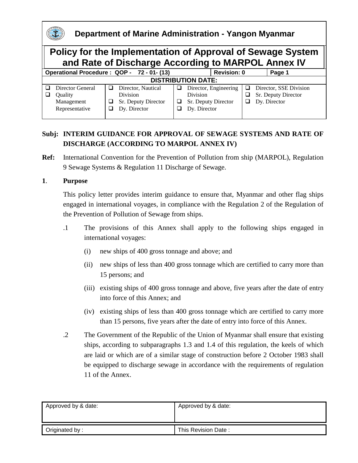

## **Subj: INTERIM GUIDANCE FOR APPROVAL OF SEWAGE SYSTEMS AND RATE OF DISCHARGE (ACCORDING TO MARPOL ANNEX IV)**

**Ref:** International Convention for the Prevention of Pollution from ship (MARPOL), Regulation 9 Sewage Systems & Regulation 11 Discharge of Sewage.

## **1**. **Purpose**

This policy letter provides interim guidance to ensure that, Myanmar and other flag ships engaged in international voyages, in compliance with the Regulation 2 of the Regulation of the Prevention of Pollution of Sewage from ships.

- .1 The provisions of this Annex shall apply to the following ships engaged in international voyages:
	- (i) new ships of 400 gross tonnage and above; and
	- (ii) new ships of less than 400 gross tonnage which are certified to carry more than 15 persons; and
	- (iii) existing ships of 400 gross tonnage and above, five years after the date of entry into force of this Annex; and
	- (iv) existing ships of less than 400 gross tonnage which are certified to carry more than 15 persons, five years after the date of entry into force of this Annex.
- .2 The Government of the Republic of the Union of Myanmar shall ensure that existing ships, according to subparagraphs 1.3 and 1.4 of this regulation, the keels of which are laid or which are of a similar stage of construction before 2 October 1983 shall be equipped to discharge sewage in accordance with the requirements of regulation 11 of the Annex.

| Approved by & date: | Approved by & date: |
|---------------------|---------------------|
| Originated by:      | This Revision Date: |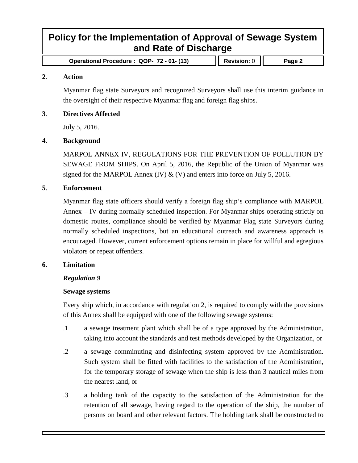## **Policy for the Implementation of Approval of Sewage System and Rate of Discharge**

**Operational Procedure : QOP- 72 - 01- (13) Revision:** 0 **Page 2**

#### **2**. **Action**

Myanmar flag state Surveyors and recognized Surveyors shall use this interim guidance in the oversight of their respective Myanmar flag and foreign flag ships.

#### **3**. **Directives Affected**

July 5, 2016.

#### **4**. **Background**

MARPOL ANNEX IV, REGULATIONS FOR THE PREVENTION OF POLLUTION BY SEWAGE FROM SHIPS. On April 5, 2016, the Republic of the Union of Myanmar was signed for the MARPOL Annex (IV)  $\&$  (V) and enters into force on July 5, 2016.

#### **5**. **Enforcement**

Myanmar flag state officers should verify a foreign flag ship's compliance with MARPOL Annex – IV during normally scheduled inspection. For Myanmar ships operating strictly on domestic routes, compliance should be verified by Myanmar Flag state Surveyors during normally scheduled inspections, but an educational outreach and awareness approach is encouraged. However, current enforcement options remain in place for willful and egregious violators or repeat offenders.

#### **6. Limitation**

### *Regulation 9*

#### **Sewage systems**

Every ship which, in accordance with regulation 2, is required to comply with the provisions of this Annex shall be equipped with one of the following sewage systems:

- .1 a sewage treatment plant which shall be of a type approved by the Administration, taking into account the standards and test methods developed by the Organization, or
- .2 a sewage comminuting and disinfecting system approved by the Administration. Such system shall be fitted with facilities to the satisfaction of the Administration, for the temporary storage of sewage when the ship is less than 3 nautical miles from the nearest land, or
- .3 a holding tank of the capacity to the satisfaction of the Administration for the retention of all sewage, having regard to the operation of the ship, the number of persons on board and other relevant factors. The holding tank shall be constructed to